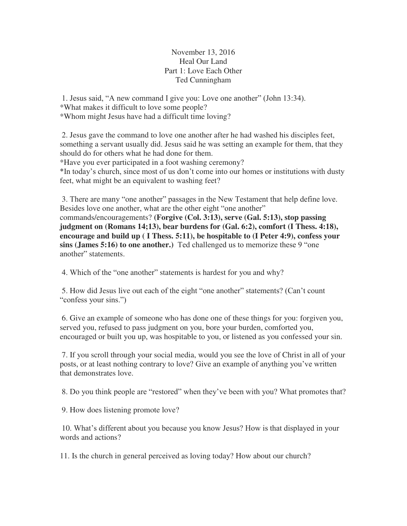November 13, 2016 Heal Our Land Part 1: Love Each Other Ted Cunningham

1. Jesus said, "A new command I give you: Love one another" (John 13:34). \*What makes it difficult to love some people? \*Whom might Jesus have had a difficult time loving?

 2. Jesus gave the command to love one another after he had washed his disciples feet, something a servant usually did. Jesus said he was setting an example for them, that they should do for others what he had done for them.

\*Have you ever participated in a foot washing ceremony?

\*In today's church, since most of us don't come into our homes or institutions with dusty feet, what might be an equivalent to washing feet?

 3. There are many "one another" passages in the New Testament that help define love. Besides love one another, what are the other eight "one another" commands/encouragements? **(Forgive (Col. 3:13), serve (Gal. 5:13), stop passing judgment on (Romans 14;13), bear burdens for (Gal. 6:2), comfort (I Thess. 4:18), encourage and build up ( I Thess. 5:11), be hospitable to (I Peter 4:9), confess your sins (James 5:16) to one another.)** Ted challenged us to memorize these 9 "one another" statements.

4. Which of the "one another" statements is hardest for you and why?

 5. How did Jesus live out each of the eight "one another" statements? (Can't count "confess your sins.")

 6. Give an example of someone who has done one of these things for you: forgiven you, served you, refused to pass judgment on you, bore your burden, comforted you, encouraged or built you up, was hospitable to you, or listened as you confessed your sin.

 7. If you scroll through your social media, would you see the love of Christ in all of your posts, or at least nothing contrary to love? Give an example of anything you've written that demonstrates love.

8. Do you think people are "restored" when they've been with you? What promotes that?

9. How does listening promote love?

 10. What's different about you because you know Jesus? How is that displayed in your words and actions?

11. Is the church in general perceived as loving today? How about our church?